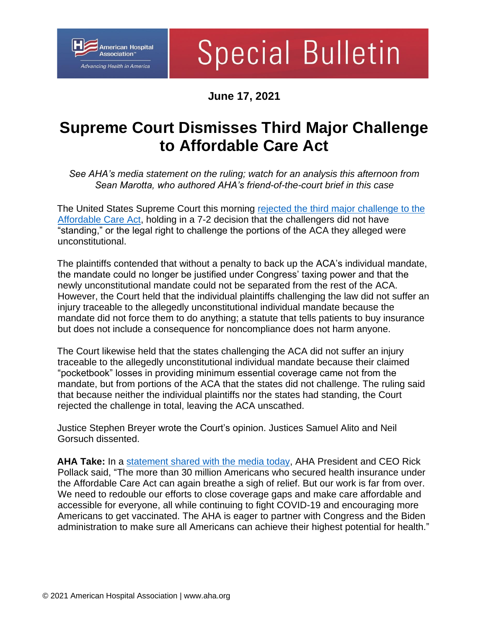

## **Special Bulletin**

**June 17, 2021**

## **Supreme Court Dismisses Third Major Challenge to Affordable Care Act**

*See AHA's media statement on the ruling; watch for an analysis this afternoon from Sean Marotta, who authored AHA's friend-of-the-court brief in this case* 

The United States Supreme Court this morning [rejected the third major challenge to the](https://www.supremecourt.gov/opinions/20pdf/19-840_6jfm.pdf)  [Affordable Care Act,](https://www.supremecourt.gov/opinions/20pdf/19-840_6jfm.pdf) holding in a 7-2 decision that the challengers did not have "standing," or the legal right to challenge the portions of the ACA they alleged were unconstitutional.

The plaintiffs contended that without a penalty to back up the ACA's individual mandate, the mandate could no longer be justified under Congress' taxing power and that the newly unconstitutional mandate could not be separated from the rest of the ACA. However, the Court held that the individual plaintiffs challenging the law did not suffer an injury traceable to the allegedly unconstitutional individual mandate because the mandate did not force them to do anything; a statute that tells patients to buy insurance but does not include a consequence for noncompliance does not harm anyone.

The Court likewise held that the states challenging the ACA did not suffer an injury traceable to the allegedly unconstitutional individual mandate because their claimed "pocketbook" losses in providing minimum essential coverage came not from the mandate, but from portions of the ACA that the states did not challenge. The ruling said that because neither the individual plaintiffs nor the states had standing, the Court rejected the challenge in total, leaving the ACA unscathed.

Justice Stephen Breyer wrote the Court's opinion. Justices Samuel Alito and Neil Gorsuch dissented.

**AHA Take:** In a statement [shared with the media today,](https://www.aha.org/press-releases/2021-06-17-statement-supreme-court-decision-affordable-care-act) AHA President and CEO Rick Pollack said, "The more than 30 million Americans who secured health insurance under the Affordable Care Act can again breathe a sigh of relief. But our work is far from over. We need to redouble our efforts to close coverage gaps and make care affordable and accessible for everyone, all while continuing to fight COVID-19 and encouraging more Americans to get vaccinated. The AHA is eager to partner with Congress and the Biden administration to make sure all Americans can achieve their highest potential for health."